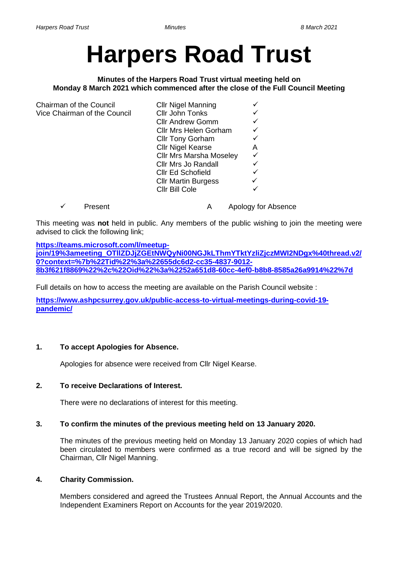# **Harpers Road Trust**

#### **Minutes of the Harpers Road Trust virtual meeting held on Monday 8 March 2021 which commenced after the close of the Full Council Meeting**

| Chairman of the Council      | <b>Cllr Nigel Manning</b>      |                     |
|------------------------------|--------------------------------|---------------------|
| Vice Chairman of the Council | <b>Cllr John Tonks</b>         |                     |
|                              | <b>Cllr Andrew Gomm</b>        |                     |
|                              | <b>Cllr Mrs Helen Gorham</b>   |                     |
|                              | <b>Cllr Tony Gorham</b>        |                     |
|                              | <b>Cllr Nigel Kearse</b>       | А                   |
|                              | <b>Cllr Mrs Marsha Moseley</b> |                     |
|                              | <b>Cllr Mrs Jo Randall</b>     |                     |
|                              | <b>CIIr Ed Schofield</b>       |                     |
|                              | <b>Cllr Martin Burgess</b>     |                     |
|                              | Cllr Bill Cole                 |                     |
| Present                      |                                | Apology for Absence |

This meeting was **not** held in public. Any members of the public wishing to join the meeting were advised to click the following link;

**[https://teams.microsoft.com/l/meetup](https://teams.microsoft.com/l/meetup-join/19%3ameeting_OTllZDJjZGEtNWQyNi00NGJkLThmYTktYzliZjczMWI2NDgx%40thread.v2/0?context=%7b%22Tid%22%3a%22655dc6d2-cc35-4837-9012-8b3f621f8869%22%2c%22Oid%22%3a%2252a651d8-60cc-4ef0-b8b8-8585a26a9914%22%7d)[join/19%3ameeting\\_OTllZDJjZGEtNWQyNi00NGJkLThmYTktYzliZjczMWI2NDgx%40thread.v2/](https://teams.microsoft.com/l/meetup-join/19%3ameeting_OTllZDJjZGEtNWQyNi00NGJkLThmYTktYzliZjczMWI2NDgx%40thread.v2/0?context=%7b%22Tid%22%3a%22655dc6d2-cc35-4837-9012-8b3f621f8869%22%2c%22Oid%22%3a%2252a651d8-60cc-4ef0-b8b8-8585a26a9914%22%7d) [0?context=%7b%22Tid%22%3a%22655dc6d2-cc35-4837-9012-](https://teams.microsoft.com/l/meetup-join/19%3ameeting_OTllZDJjZGEtNWQyNi00NGJkLThmYTktYzliZjczMWI2NDgx%40thread.v2/0?context=%7b%22Tid%22%3a%22655dc6d2-cc35-4837-9012-8b3f621f8869%22%2c%22Oid%22%3a%2252a651d8-60cc-4ef0-b8b8-8585a26a9914%22%7d) [8b3f621f8869%22%2c%22Oid%22%3a%2252a651d8-60cc-4ef0-b8b8-8585a26a9914%22%7d](https://teams.microsoft.com/l/meetup-join/19%3ameeting_OTllZDJjZGEtNWQyNi00NGJkLThmYTktYzliZjczMWI2NDgx%40thread.v2/0?context=%7b%22Tid%22%3a%22655dc6d2-cc35-4837-9012-8b3f621f8869%22%2c%22Oid%22%3a%2252a651d8-60cc-4ef0-b8b8-8585a26a9914%22%7d)**

Full details on how to access the meeting are available on the Parish Council website :

**[https://www.ashpcsurrey.gov.uk/public-access-to-virtual-meetings-during-covid-19](https://www.ashpcsurrey.gov.uk/public-access-to-virtual-meetings-during-covid-19-pandemic/) [pandemic/](https://www.ashpcsurrey.gov.uk/public-access-to-virtual-meetings-during-covid-19-pandemic/)**

# **1. To accept Apologies for Absence.**

Apologies for absence were received from Cllr Nigel Kearse.

# **2. To receive Declarations of Interest.**

There were no declarations of interest for this meeting.

# **3. To confirm the minutes of the previous meeting held on 13 January 2020.**

The minutes of the previous meeting held on Monday 13 January 2020 copies of which had been circulated to members were confirmed as a true record and will be signed by the Chairman, Cllr Nigel Manning.

# **4. Charity Commission.**

Members considered and agreed the Trustees Annual Report, the Annual Accounts and the Independent Examiners Report on Accounts for the year 2019/2020.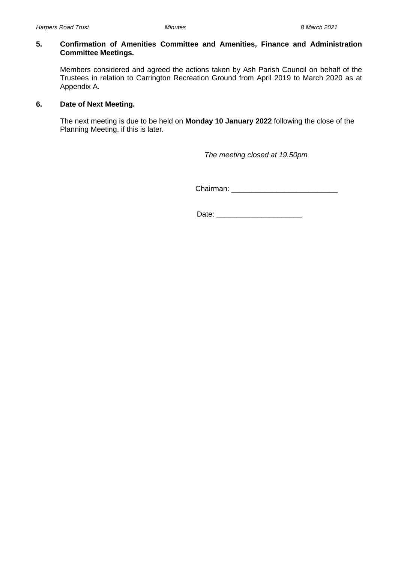#### **5. Confirmation of Amenities Committee and Amenities, Finance and Administration Committee Meetings.**

Members considered and agreed the actions taken by Ash Parish Council on behalf of the Trustees in relation to Carrington Recreation Ground from April 2019 to March 2020 as at Appendix A.

## **6. Date of Next Meeting.**

The next meeting is due to be held on **Monday 10 January 2022** following the close of the Planning Meeting, if this is later.

 *The meeting closed at 19.50pm*

Chairman: \_\_\_\_\_\_\_\_\_\_\_\_\_\_\_\_\_\_\_\_\_\_\_\_\_\_

Date: \_\_\_\_\_\_\_\_\_\_\_\_\_\_\_\_\_\_\_\_\_